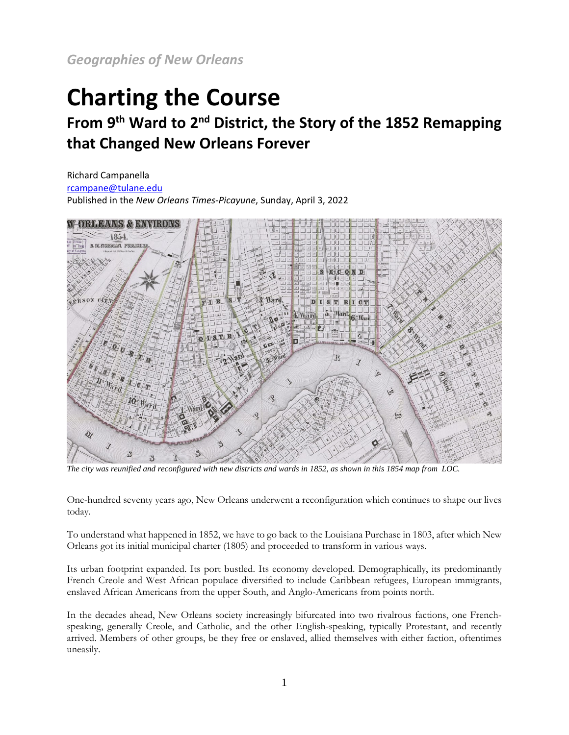*Geographies of New Orleans*

## **Charting the Course**

## **From 9th Ward to 2nd District, the Story of the 1852 Remapping that Changed New Orleans Forever**

Richard Campanella [rcampane@tulane.edu](mailto:rcampane@tulane.edu) Published in the *New Orleans Times-Picayune*, Sunday, April 3, 2022



*The city was reunified and reconfigured with new districts and wards in 1852, as shown in this 1854 map from LOC.*

One-hundred seventy years ago, New Orleans underwent a reconfiguration which continues to shape our lives today.

To understand what happened in 1852, we have to go back to the Louisiana Purchase in 1803, after which New Orleans got its initial municipal charter (1805) and proceeded to transform in various ways.

Its urban footprint expanded. Its port bustled. Its economy developed. Demographically, its predominantly French Creole and West African populace diversified to include Caribbean refugees, European immigrants, enslaved African Americans from the upper South, and Anglo-Americans from points north.

In the decades ahead, New Orleans society increasingly bifurcated into two rivalrous factions, one Frenchspeaking, generally Creole, and Catholic, and the other English-speaking, typically Protestant, and recently arrived. Members of other groups, be they free or enslaved, allied themselves with either faction, oftentimes uneasily.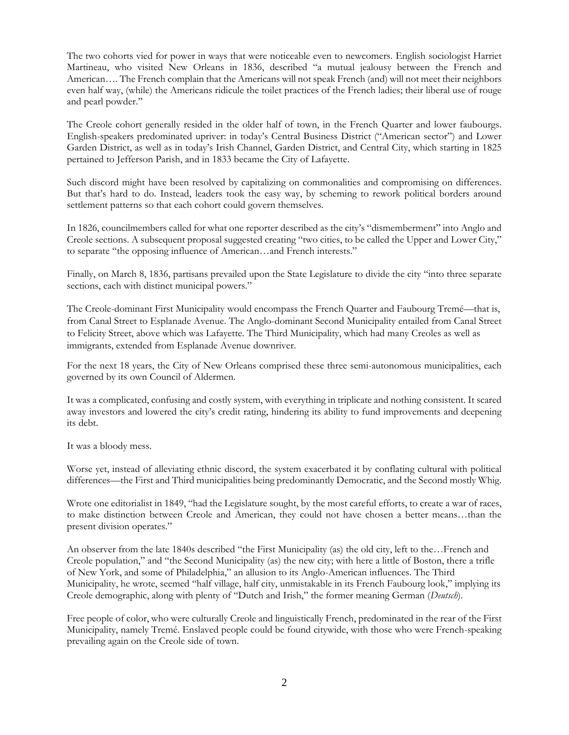The two cohorts vied for power in ways that were noticeable even to newcomers. English sociologist Harriet Martineau, who visited New Orleans in 1836, described "a mutual jealousy between the French and American…. The French complain that the Americans will not speak French (and) will not meet their neighbors even half way, (while) the Americans ridicule the toilet practices of the French ladies; their liberal use of rouge and pearl powder."

The Creole cohort generally resided in the older half of town, in the French Quarter and lower faubourgs. English-speakers predominated upriver: in today's Central Business District ("American sector") and Lower Garden District, as well as in today's Irish Channel, Garden District, and Central City, which starting in 1825 pertained to Jefferson Parish, and in 1833 became the City of Lafayette.

Such discord might have been resolved by capitalizing on commonalities and compromising on differences. But that's hard to do. Instead, leaders took the easy way, by scheming to rework political borders around settlement patterns so that each cohort could govern themselves.

In 1826, councilmembers called for what one reporter described as the city's "dismemberment" into Anglo and Creole sections. A subsequent proposal suggested creating "two cities, to be called the Upper and Lower City," to separate "the opposing influence of American…and French interests."

Finally, on March 8, 1836, partisans prevailed upon the State Legislature to divide the city "into three separate sections, each with distinct municipal powers."

The Creole-dominant First Municipality would encompass the French Quarter and Faubourg Tremé—that is, from Canal Street to Esplanade Avenue. The Anglo-dominant Second Municipality entailed from Canal Street to Felicity Street, above which was Lafayette. The Third Municipality, which had many Creoles as well as immigrants, extended from Esplanade Avenue downriver.

For the next 18 years, the City of New Orleans comprised these three semi-autonomous municipalities, each governed by its own Council of Aldermen.

It was a complicated, confusing and costly system, with everything in triplicate and nothing consistent. It scared away investors and lowered the city's credit rating, hindering its ability to fund improvements and deepening its debt.

It was a bloody mess.

Worse yet, instead of alleviating ethnic discord, the system exacerbated it by conflating cultural with political differences—the First and Third municipalities being predominantly Democratic, and the Second mostly Whig.

Wrote one editorialist in 1849, "had the Legislature sought, by the most careful efforts, to create a war of races, to make distinction between Creole and American, they could not have chosen a better means…than the present division operates."

An observer from the late 1840s described "the First Municipality (as) the old city, left to the…French and Creole population," and "the Second Municipality (as) the new city; with here a little of Boston, there a trifle of New York, and some of Philadelphia," an allusion to its Anglo-American influences. The Third Municipality, he wrote, seemed "half village, half city, unmistakable in its French Faubourg look," implying its Creole demographic, along with plenty of "Dutch and Irish," the former meaning German (*Deutsch*).

Free people of color, who were culturally Creole and linguistically French, predominated in the rear of the First Municipality, namely Tremé. Enslaved people could be found citywide, with those who were French-speaking prevailing again on the Creole side of town.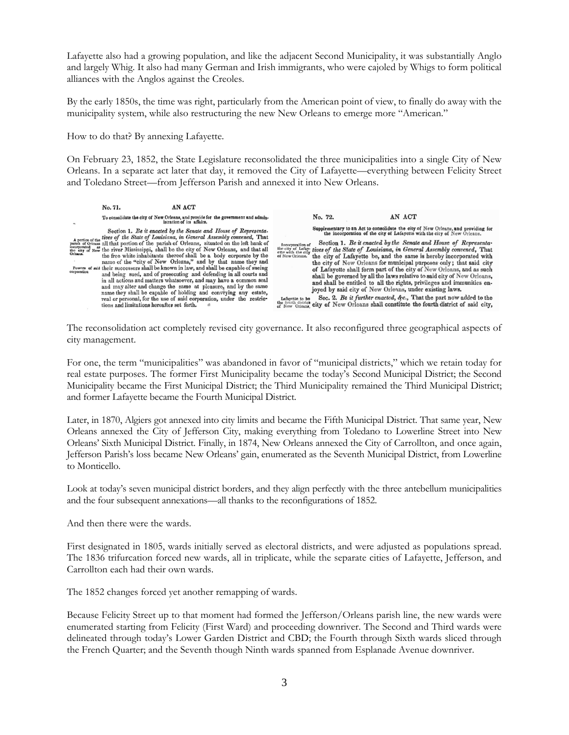Lafayette also had a growing population, and like the adjacent Second Municipality, it was substantially Anglo and largely Whig. It also had many German and Irish immigrants, who were cajoled by Whigs to form political alliances with the Anglos against the Creoles.

By the early 1850s, the time was right, particularly from the American point of view, to finally do away with the municipality system, while also restructuring the new New Orleans to emerge more "American."

How to do that? By annexing Lafayette.

On February 23, 1852, the State Legislature reconsolidated the three municipalities into a single City of New Orleans. In a separate act later that day, it removed the City of Lafayette—everything between Felicity Street and Toledano Street—from Jefferson Parish and annexed it into New Orleans.



The reconsolidation act completely revised city governance. It also reconfigured three geographical aspects of city management.

For one, the term "municipalities" was abandoned in favor of "municipal districts," which we retain today for real estate purposes. The former First Municipality became the today's Second Municipal District; the Second Municipality became the First Municipal District; the Third Municipality remained the Third Municipal District; and former Lafayette became the Fourth Municipal District.

Later, in 1870, Algiers got annexed into city limits and became the Fifth Municipal District. That same year, New Orleans annexed the City of Jefferson City, making everything from Toledano to Lowerline Street into New Orleans' Sixth Municipal District. Finally, in 1874, New Orleans annexed the City of Carrollton, and once again, Jefferson Parish's loss became New Orleans' gain, enumerated as the Seventh Municipal District, from Lowerline to Monticello.

Look at today's seven municipal district borders, and they align perfectly with the three antebellum municipalities and the four subsequent annexations—all thanks to the reconfigurations of 1852.

And then there were the wards.

First designated in 1805, wards initially served as electoral districts, and were adjusted as populations spread. The 1836 trifurcation forced new wards, all in triplicate, while the separate cities of Lafayette, Jefferson, and Carrollton each had their own wards.

The 1852 changes forced yet another remapping of wards.

Because Felicity Street up to that moment had formed the Jefferson/Orleans parish line, the new wards were enumerated starting from Felicity (First Ward) and proceeding downriver. The Second and Third wards were delineated through today's Lower Garden District and CBD; the Fourth through Sixth wards sliced through the French Quarter; and the Seventh though Ninth wards spanned from Esplanade Avenue downriver.